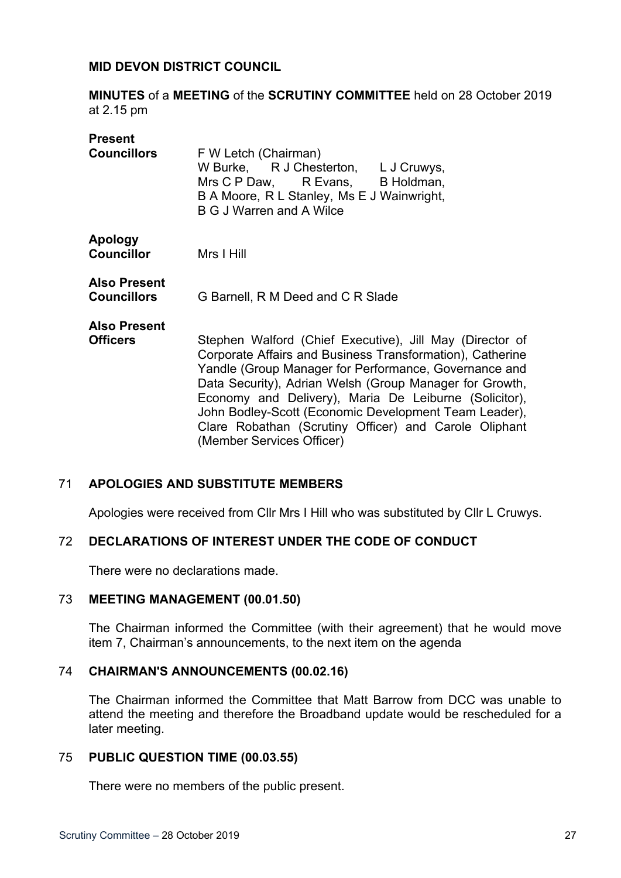# **MID DEVON DISTRICT COUNCIL**

**MINUTES** of a **MEETING** of the **SCRUTINY COMMITTEE** held on 28 October 2019 at 2.15 pm

| <b>Present</b>                            |                                                                                                                                                                                                                                                                                                                                                                                                                                                   |
|-------------------------------------------|---------------------------------------------------------------------------------------------------------------------------------------------------------------------------------------------------------------------------------------------------------------------------------------------------------------------------------------------------------------------------------------------------------------------------------------------------|
| <b>Councillors</b>                        | F W Letch (Chairman)<br>W Burke, R J Chesterton, L J Cruwys,<br>Mrs C P Daw, R Evans, B Holdman,<br>B A Moore, R L Stanley, Ms E J Wainwright,<br><b>B G J Warren and A Wilce</b>                                                                                                                                                                                                                                                                 |
| <b>Apology</b><br><b>Councillor</b>       | Mrs I Hill                                                                                                                                                                                                                                                                                                                                                                                                                                        |
| <b>Also Present</b><br><b>Councillors</b> | G Barnell, R M Deed and C R Slade                                                                                                                                                                                                                                                                                                                                                                                                                 |
| <b>Also Present</b><br><b>Officers</b>    | Stephen Walford (Chief Executive), Jill May (Director of<br>Corporate Affairs and Business Transformation), Catherine<br>Yandle (Group Manager for Performance, Governance and<br>Data Security), Adrian Welsh (Group Manager for Growth,<br>Economy and Delivery), Maria De Leiburne (Solicitor),<br>John Bodley-Scott (Economic Development Team Leader),<br>Clare Robathan (Scrutiny Officer) and Carole Oliphant<br>(Member Services Officer) |

# 71 **APOLOGIES AND SUBSTITUTE MEMBERS**

Apologies were received from Cllr Mrs I Hill who was substituted by Cllr L Cruwys.

# 72 **DECLARATIONS OF INTEREST UNDER THE CODE OF CONDUCT**

There were no declarations made.

# 73 **MEETING MANAGEMENT (00.01.50)**

The Chairman informed the Committee (with their agreement) that he would move item 7, Chairman's announcements, to the next item on the agenda

#### 74 **CHAIRMAN'S ANNOUNCEMENTS (00.02.16)**

The Chairman informed the Committee that Matt Barrow from DCC was unable to attend the meeting and therefore the Broadband update would be rescheduled for a later meeting.

#### 75 **PUBLIC QUESTION TIME (00.03.55)**

There were no members of the public present.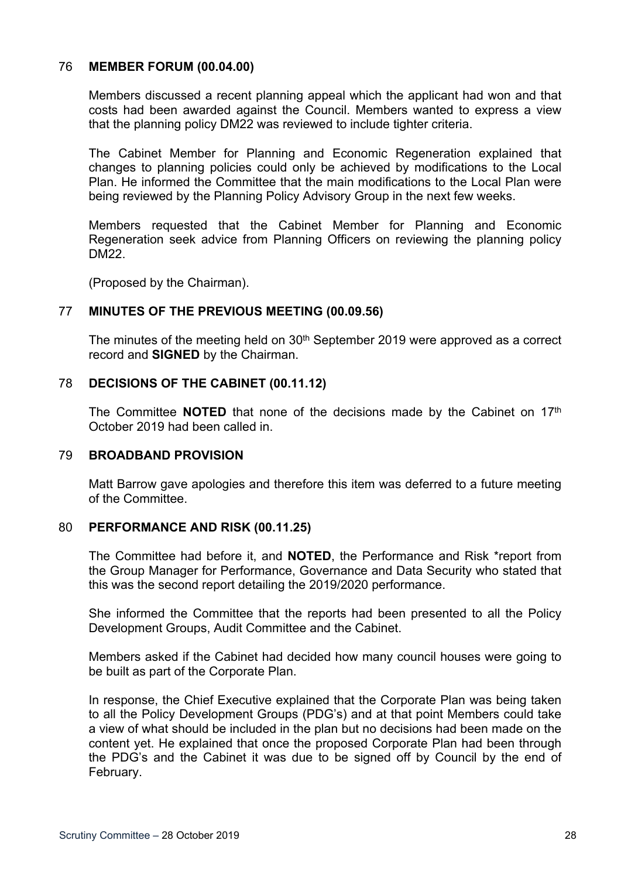### 76 **MEMBER FORUM (00.04.00)**

Members discussed a recent planning appeal which the applicant had won and that costs had been awarded against the Council. Members wanted to express a view that the planning policy DM22 was reviewed to include tighter criteria.

The Cabinet Member for Planning and Economic Regeneration explained that changes to planning policies could only be achieved by modifications to the Local Plan. He informed the Committee that the main modifications to the Local Plan were being reviewed by the Planning Policy Advisory Group in the next few weeks.

Members requested that the Cabinet Member for Planning and Economic Regeneration seek advice from Planning Officers on reviewing the planning policy DM22.

(Proposed by the Chairman).

## 77 **MINUTES OF THE PREVIOUS MEETING (00.09.56)**

The minutes of the meeting held on  $30<sup>th</sup>$  September 2019 were approved as a correct record and **SIGNED** by the Chairman.

## 78 **DECISIONS OF THE CABINET (00.11.12)**

The Committee **NOTED** that none of the decisions made by the Cabinet on 17<sup>th</sup> October 2019 had been called in.

#### 79 **BROADBAND PROVISION**

Matt Barrow gave apologies and therefore this item was deferred to a future meeting of the Committee.

#### 80 **PERFORMANCE AND RISK (00.11.25)**

The Committee had before it, and **NOTED**, the Performance and Risk \*report from the Group Manager for Performance, Governance and Data Security who stated that this was the second report detailing the 2019/2020 performance.

She informed the Committee that the reports had been presented to all the Policy Development Groups, Audit Committee and the Cabinet.

Members asked if the Cabinet had decided how many council houses were going to be built as part of the Corporate Plan.

In response, the Chief Executive explained that the Corporate Plan was being taken to all the Policy Development Groups (PDG's) and at that point Members could take a view of what should be included in the plan but no decisions had been made on the content yet. He explained that once the proposed Corporate Plan had been through the PDG's and the Cabinet it was due to be signed off by Council by the end of February.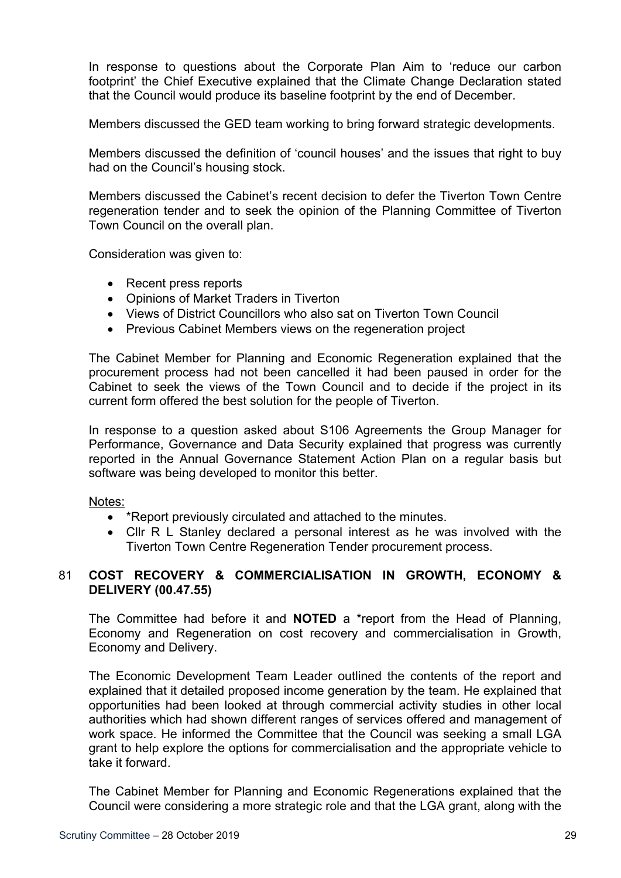In response to questions about the Corporate Plan Aim to 'reduce our carbon footprint' the Chief Executive explained that the Climate Change Declaration stated that the Council would produce its baseline footprint by the end of December.

Members discussed the GED team working to bring forward strategic developments.

Members discussed the definition of 'council houses' and the issues that right to buy had on the Council's housing stock.

Members discussed the Cabinet's recent decision to defer the Tiverton Town Centre regeneration tender and to seek the opinion of the Planning Committee of Tiverton Town Council on the overall plan.

Consideration was given to:

- Recent press reports
- Opinions of Market Traders in Tiverton
- Views of District Councillors who also sat on Tiverton Town Council
- Previous Cabinet Members views on the regeneration project

The Cabinet Member for Planning and Economic Regeneration explained that the procurement process had not been cancelled it had been paused in order for the Cabinet to seek the views of the Town Council and to decide if the project in its current form offered the best solution for the people of Tiverton.

In response to a question asked about S106 Agreements the Group Manager for Performance, Governance and Data Security explained that progress was currently reported in the Annual Governance Statement Action Plan on a regular basis but software was being developed to monitor this better.

# Notes:

- \*Report previously circulated and attached to the minutes.
- Cllr R L Stanley declared a personal interest as he was involved with the Tiverton Town Centre Regeneration Tender procurement process.

# 81 **COST RECOVERY & COMMERCIALISATION IN GROWTH, ECONOMY & DELIVERY (00.47.55)**

The Committee had before it and **NOTED** a \*report from the Head of Planning, Economy and Regeneration on cost recovery and commercialisation in Growth, Economy and Delivery.

The Economic Development Team Leader outlined the contents of the report and explained that it detailed proposed income generation by the team. He explained that opportunities had been looked at through commercial activity studies in other local authorities which had shown different ranges of services offered and management of work space. He informed the Committee that the Council was seeking a small LGA grant to help explore the options for commercialisation and the appropriate vehicle to take it forward.

The Cabinet Member for Planning and Economic Regenerations explained that the Council were considering a more strategic role and that the LGA grant, along with the